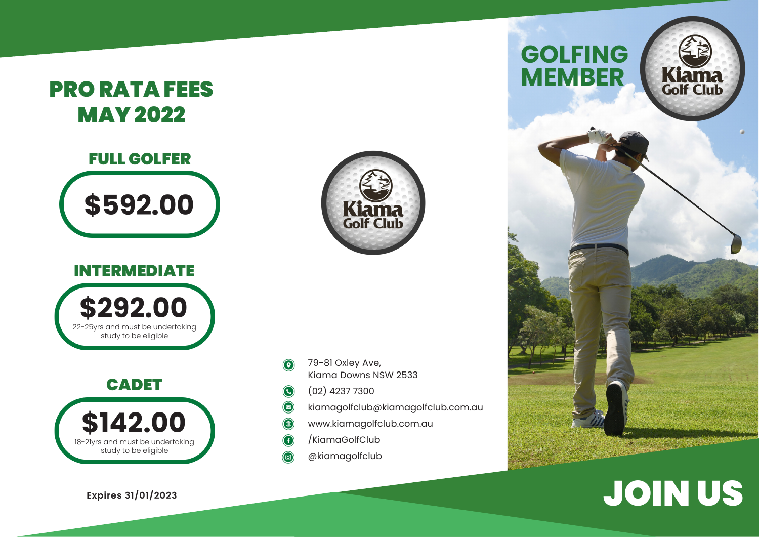## PRO RATA FEES MAY 2022

# FULL GOLFER **\$592.00**

#### INTERMEDIATE



### CADET



**Expires 31/01/2023**



- 79-81 Oxley Ave,  $\odot$ Kiama Downs NSW 2533
- (02) 4237 7300  $\odot$
- $\bigcirc$ kiamagolfclub@kiamagolfclub.com.au
- $\bigcirc$ www.kiamagolfclub.com.au
- /KiamaGolfClub G
- @kiamagolfclub



# JOIN US